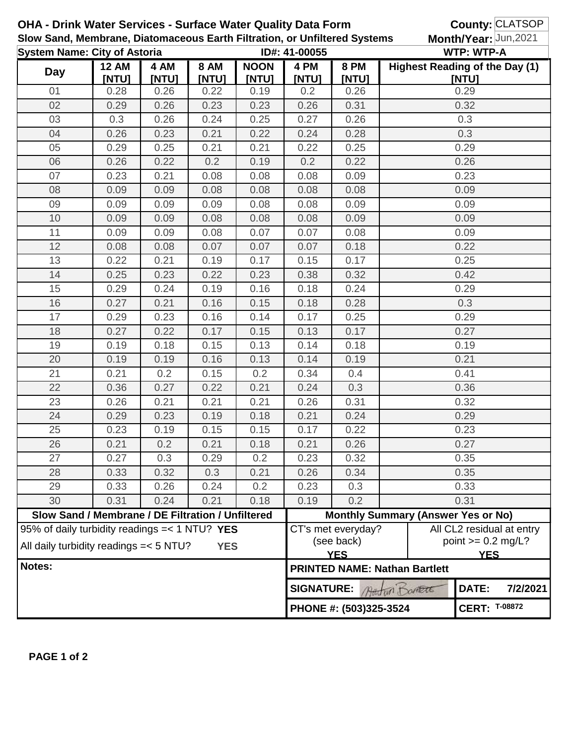|                                     |                                                                                                             |               |                      | <b>OHA - Drink Water Services - Surface Water Quality Data Form</b><br>Slow Sand, Membrane, Diatomaceous Earth Filtration, or Unfiltered Systems |                                           |                                                | County: CLATSOP<br>Month/Year: Jun, 2021 |                                                                 |  |  |  |
|-------------------------------------|-------------------------------------------------------------------------------------------------------------|---------------|----------------------|--------------------------------------------------------------------------------------------------------------------------------------------------|-------------------------------------------|------------------------------------------------|------------------------------------------|-----------------------------------------------------------------|--|--|--|
| <b>System Name: City of Astoria</b> |                                                                                                             |               |                      | ID#: 41-00055                                                                                                                                    |                                           |                                                | <b>WTP: WTP-A</b>                        |                                                                 |  |  |  |
| <b>Day</b>                          | <b>12 AM</b><br>[NTU]                                                                                       | 4 AM<br>[NTU] | <b>8 AM</b><br>[NTU] | <b>NOON</b><br>[NTU]                                                                                                                             | 4 PM<br>[NTU]                             | <b>8 PM</b><br>[NTU]                           |                                          | <b>Highest Reading of the Day (1)</b><br>[NTU]                  |  |  |  |
| 01                                  | 0.28                                                                                                        | 0.26          | 0.22                 | 0.19                                                                                                                                             | 0.2                                       | 0.26                                           |                                          | 0.29                                                            |  |  |  |
| 02                                  | 0.29                                                                                                        | 0.26          | 0.23                 | 0.23                                                                                                                                             | 0.26                                      | 0.31                                           |                                          | 0.32                                                            |  |  |  |
| 03                                  | 0.3                                                                                                         | 0.26          | 0.24                 | 0.25                                                                                                                                             | 0.27                                      | 0.26                                           | 0.3                                      |                                                                 |  |  |  |
| 04                                  | 0.26                                                                                                        | 0.23          | 0.21                 | 0.22                                                                                                                                             | 0.24                                      | 0.28                                           | 0.3                                      |                                                                 |  |  |  |
| 05                                  | 0.29                                                                                                        | 0.25          | 0.21                 | 0.21                                                                                                                                             | 0.22                                      | 0.25                                           | 0.29                                     |                                                                 |  |  |  |
| 06                                  | 0.26                                                                                                        | 0.22          | 0.2                  | 0.19                                                                                                                                             | 0.2                                       | 0.22                                           | 0.26                                     |                                                                 |  |  |  |
| 07                                  | 0.23                                                                                                        | 0.21          | 0.08                 | 0.08                                                                                                                                             | 0.08                                      | 0.09                                           | 0.23                                     |                                                                 |  |  |  |
| 08                                  | 0.09                                                                                                        | 0.09          | 0.08                 | 0.08                                                                                                                                             | 0.08                                      | 0.08                                           | 0.09                                     |                                                                 |  |  |  |
| 09                                  | 0.09                                                                                                        | 0.09          | 0.09                 | 0.08                                                                                                                                             | 0.08                                      | 0.09                                           |                                          | 0.09                                                            |  |  |  |
| 10                                  | 0.09                                                                                                        | 0.09          | 0.08                 | 0.08                                                                                                                                             | 0.08                                      | 0.09                                           |                                          | 0.09                                                            |  |  |  |
| 11                                  | 0.09                                                                                                        | 0.09          | 0.08                 | 0.07                                                                                                                                             | 0.07                                      | 0.08                                           |                                          | 0.09                                                            |  |  |  |
| 12                                  | 0.08                                                                                                        | 0.08          | 0.07                 | 0.07                                                                                                                                             | 0.07                                      | 0.18                                           |                                          | 0.22                                                            |  |  |  |
| 13                                  | 0.22                                                                                                        | 0.21          | 0.19                 | 0.17                                                                                                                                             | 0.15                                      | 0.17                                           |                                          | 0.25                                                            |  |  |  |
| 14                                  | 0.25                                                                                                        | 0.23          | 0.22                 | 0.23                                                                                                                                             | 0.38                                      | 0.32                                           |                                          | 0.42                                                            |  |  |  |
| 15                                  | 0.29                                                                                                        | 0.24          | 0.19                 | 0.16                                                                                                                                             | 0.18                                      | 0.24                                           |                                          | 0.29                                                            |  |  |  |
| 16                                  | 0.27                                                                                                        | 0.21          | 0.16                 | 0.15                                                                                                                                             | 0.18                                      | 0.28                                           |                                          | 0.3                                                             |  |  |  |
| 17                                  | 0.29                                                                                                        | 0.23          | 0.16                 | 0.14                                                                                                                                             | 0.17                                      | 0.25                                           |                                          | 0.29                                                            |  |  |  |
| 18                                  | 0.27                                                                                                        | 0.22          | 0.17                 | 0.15                                                                                                                                             | 0.13                                      | 0.17                                           |                                          | 0.27                                                            |  |  |  |
| 19                                  | 0.19                                                                                                        | 0.18          | 0.15                 | 0.13                                                                                                                                             | 0.14                                      | 0.18                                           |                                          | 0.19                                                            |  |  |  |
| 20                                  | 0.19                                                                                                        | 0.19          | 0.16                 | 0.13                                                                                                                                             | 0.14                                      | 0.19                                           | 0.21                                     |                                                                 |  |  |  |
| 21                                  | 0.21                                                                                                        | 0.2           | 0.15                 | 0.2                                                                                                                                              | 0.34                                      | 0.4                                            | 0.41                                     |                                                                 |  |  |  |
| 22                                  | 0.36                                                                                                        | 0.27          | 0.22                 | 0.21                                                                                                                                             | 0.24                                      | 0.3                                            | 0.36                                     |                                                                 |  |  |  |
| 23                                  | 0.26                                                                                                        | 0.21          | 0.21                 | 0.21                                                                                                                                             | 0.26                                      | 0.31                                           | 0.32                                     |                                                                 |  |  |  |
| 24                                  | 0.29                                                                                                        | 0.23          | 0.19                 | 0.18                                                                                                                                             | 0.21                                      | 0.24                                           | 0.29                                     |                                                                 |  |  |  |
| 25                                  | 0.23                                                                                                        | 0.19          | 0.15                 | 0.15                                                                                                                                             | 0.17                                      | 0.22                                           | 0.23                                     |                                                                 |  |  |  |
| 26                                  | 0.21                                                                                                        | 0.2           | 0.21                 | 0.18                                                                                                                                             | 0.21                                      | 0.26                                           | 0.27                                     |                                                                 |  |  |  |
| 27                                  | 0.27                                                                                                        | 0.3           | 0.29                 | 0.2                                                                                                                                              | 0.23                                      | 0.32                                           |                                          | 0.35                                                            |  |  |  |
| 28                                  | 0.33                                                                                                        | 0.32          | 0.3                  | 0.21                                                                                                                                             | 0.26                                      | 0.34                                           |                                          | 0.35                                                            |  |  |  |
| 29                                  | 0.33                                                                                                        | 0.26          | 0.24                 | 0.2                                                                                                                                              | 0.23                                      | 0.3                                            |                                          | 0.33                                                            |  |  |  |
| 30                                  | 0.31                                                                                                        | 0.24          | 0.21                 | 0.18                                                                                                                                             | 0.19                                      | 0.2                                            |                                          | 0.31                                                            |  |  |  |
|                                     | Slow Sand / Membrane / DE Filtration / Unfiltered                                                           |               |                      |                                                                                                                                                  | <b>Monthly Summary (Answer Yes or No)</b> |                                                |                                          |                                                                 |  |  |  |
|                                     | 95% of daily turbidity readings $=< 1 N T U$ ? YES<br>All daily turbidity readings = < 5 NTU?<br><b>YES</b> |               |                      |                                                                                                                                                  |                                           | CT's met everyday?<br>(see back)<br><b>YES</b> |                                          | All CL2 residual at entry<br>point $>= 0.2$ mg/L?<br><b>YES</b> |  |  |  |
| Notes:                              |                                                                                                             |               |                      |                                                                                                                                                  |                                           |                                                | <b>PRINTED NAME: Nathan Bartlett</b>     |                                                                 |  |  |  |
|                                     |                                                                                                             |               |                      | <b>SIGNATURE:</b><br>DATE:<br>7/2/2021<br>Attorn DOARTE                                                                                          |                                           |                                                |                                          |                                                                 |  |  |  |
|                                     |                                                                                                             |               |                      |                                                                                                                                                  | PHONE #: (503)325-3524                    | <b>CERT: T-08872</b>                           |                                          |                                                                 |  |  |  |